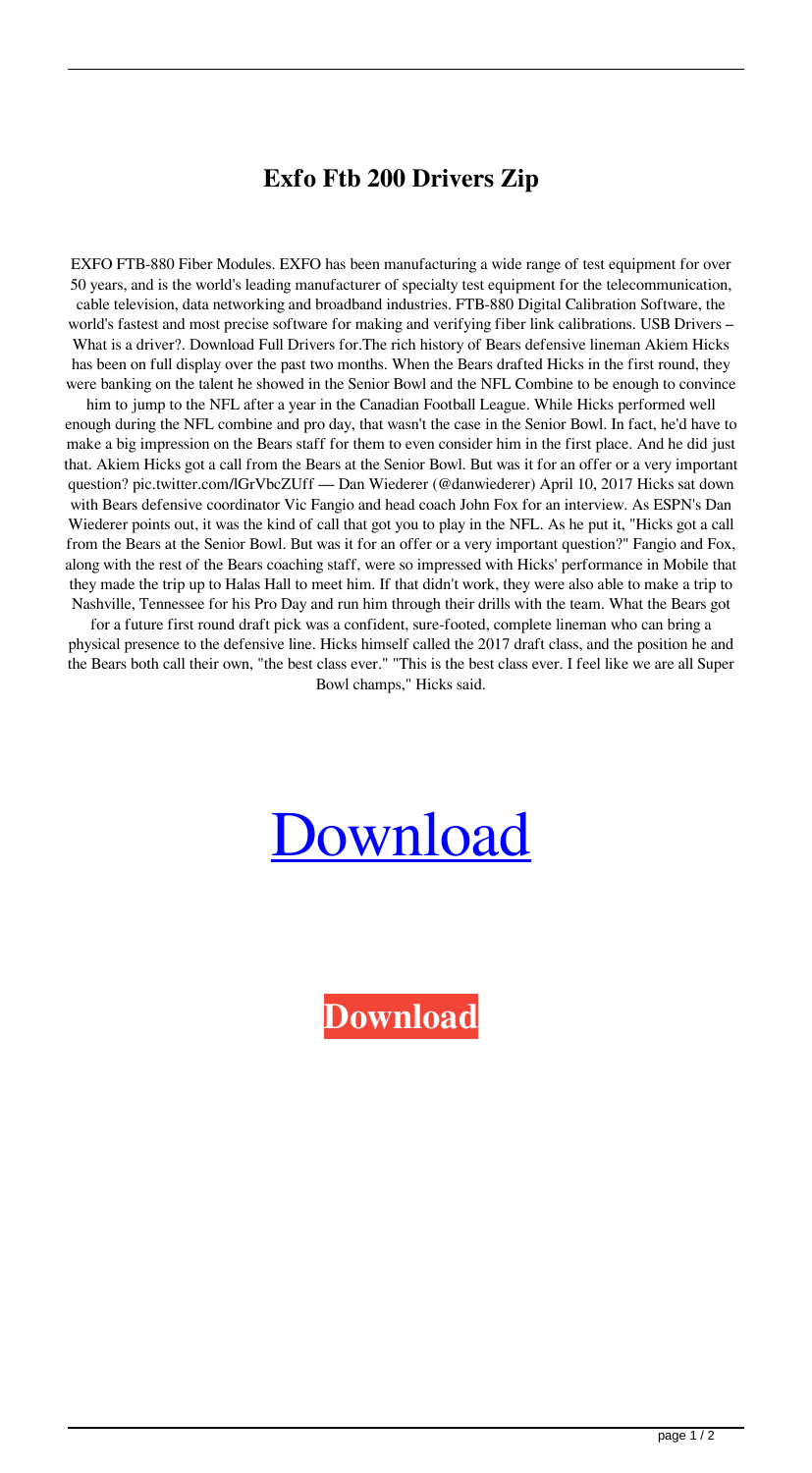## **Exfo Ftb 200 Drivers Zip**

EXFO FTB-880 Fiber Modules. EXFO has been manufacturing a wide range of test equipment for over 50 years, and is the world's leading manufacturer of specialty test equipment for the telecommunication, cable television, data networking and broadband industries. FTB-880 Digital Calibration Software, the world's fastest and most precise software for making and verifying fiber link calibrations. USB Drivers – What is a driver?. Download Full Drivers for.The rich history of Bears defensive lineman Akiem Hicks has been on full display over the past two months. When the Bears drafted Hicks in the first round, they were banking on the talent he showed in the Senior Bowl and the NFL Combine to be enough to convince

him to jump to the NFL after a year in the Canadian Football League. While Hicks performed well enough during the NFL combine and pro day, that wasn't the case in the Senior Bowl. In fact, he'd have to make a big impression on the Bears staff for them to even consider him in the first place. And he did just that. Akiem Hicks got a call from the Bears at the Senior Bowl. But was it for an offer or a very important question? pic.twitter.com/lGrVbcZUff — Dan Wiederer (@danwiederer) April 10, 2017 Hicks sat down with Bears defensive coordinator Vic Fangio and head coach John Fox for an interview. As ESPN's Dan Wiederer points out, it was the kind of call that got you to play in the NFL. As he put it, "Hicks got a call from the Bears at the Senior Bowl. But was it for an offer or a very important question?" Fangio and Fox, along with the rest of the Bears coaching staff, were so impressed with Hicks' performance in Mobile that they made the trip up to Halas Hall to meet him. If that didn't work, they were also able to make a trip to Nashville, Tennessee for his Pro Day and run him through their drills with the team. What the Bears got

for a future first round draft pick was a confident, sure-footed, complete lineman who can bring a physical presence to the defensive line. Hicks himself called the 2017 draft class, and the position he and the Bears both call their own, "the best class ever." "This is the best class ever. I feel like we are all Super Bowl champs," Hicks said.

## [Download](http://evacdir.com/assay/ZXhmbyBmdGIgMjAwIGRyaXZlcnMgemlwZXh.pharmacists.blued.ZG93bmxvYWR8NUZNTVRadWIzeDhNVFkxTWpjME1EZzJObng4TWpVM05IeDhLRTBwSUhKbFlXUXRZbXh2WnlCYlJtRnpkQ0JIUlU1ZA/activating.bound./)

## **[Download](http://evacdir.com/assay/ZXhmbyBmdGIgMjAwIGRyaXZlcnMgemlwZXh.pharmacists.blued.ZG93bmxvYWR8NUZNTVRadWIzeDhNVFkxTWpjME1EZzJObng4TWpVM05IeDhLRTBwSUhKbFlXUXRZbXh2WnlCYlJtRnpkQ0JIUlU1ZA/activating.bound./)**